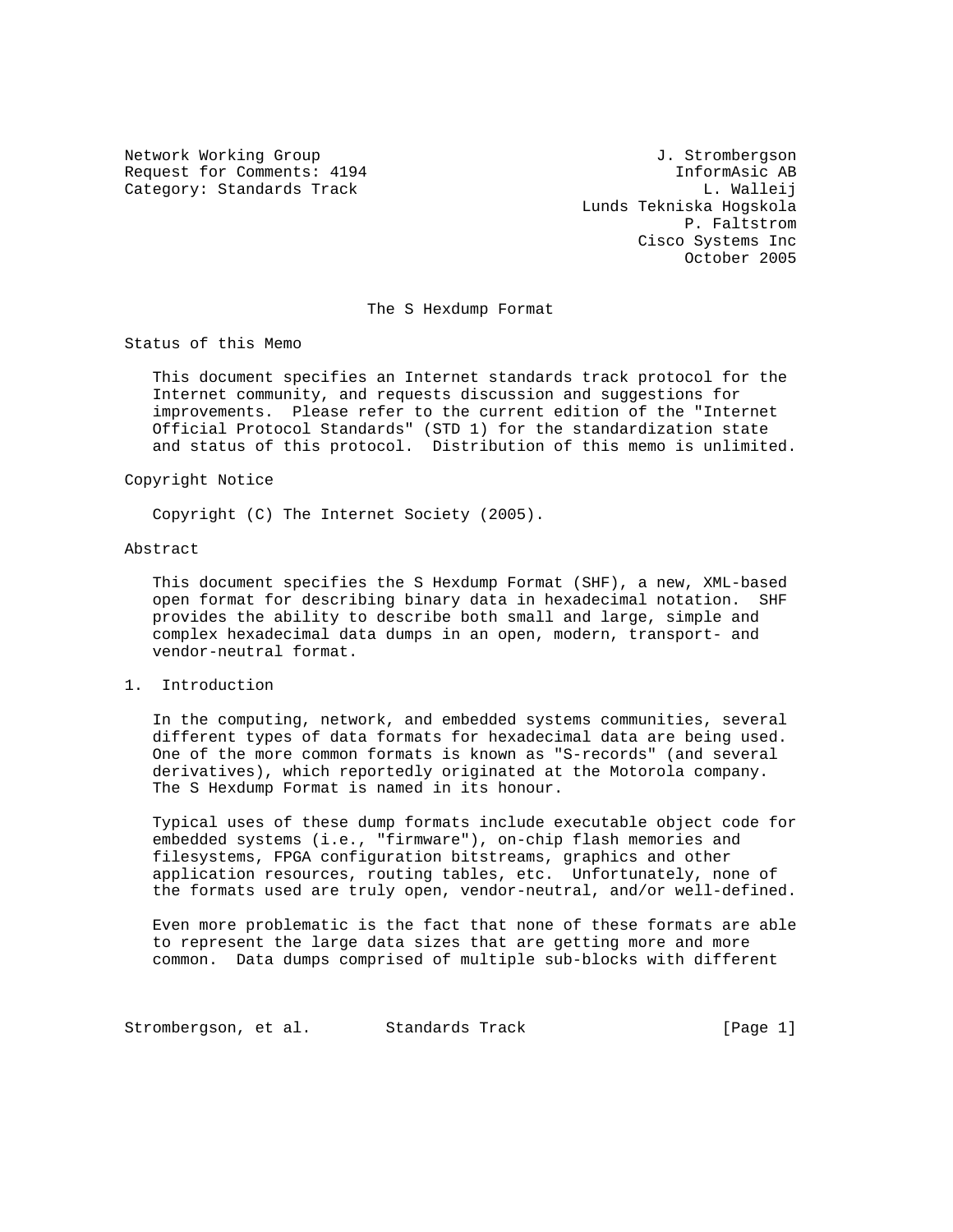Network Working Group 3. Strombergson Request for Comments: 4194 1nformAsic AB Category: Standards Track L. Walleij

 Lunds Tekniska Hogskola P. Faltstrom Cisco Systems Inc October 2005

#### The S Hexdump Format

Status of this Memo

 This document specifies an Internet standards track protocol for the Internet community, and requests discussion and suggestions for improvements. Please refer to the current edition of the "Internet Official Protocol Standards" (STD 1) for the standardization state and status of this protocol. Distribution of this memo is unlimited.

### Copyright Notice

Copyright (C) The Internet Society (2005).

#### Abstract

 This document specifies the S Hexdump Format (SHF), a new, XML-based open format for describing binary data in hexadecimal notation. SHF provides the ability to describe both small and large, simple and complex hexadecimal data dumps in an open, modern, transport- and vendor-neutral format.

### 1. Introduction

 In the computing, network, and embedded systems communities, several different types of data formats for hexadecimal data are being used. One of the more common formats is known as "S-records" (and several derivatives), which reportedly originated at the Motorola company. The S Hexdump Format is named in its honour.

 Typical uses of these dump formats include executable object code for embedded systems (i.e., "firmware"), on-chip flash memories and filesystems, FPGA configuration bitstreams, graphics and other application resources, routing tables, etc. Unfortunately, none of the formats used are truly open, vendor-neutral, and/or well-defined.

 Even more problematic is the fact that none of these formats are able to represent the large data sizes that are getting more and more common. Data dumps comprised of multiple sub-blocks with different

Strombergson, et al. Standards Track [Page 1]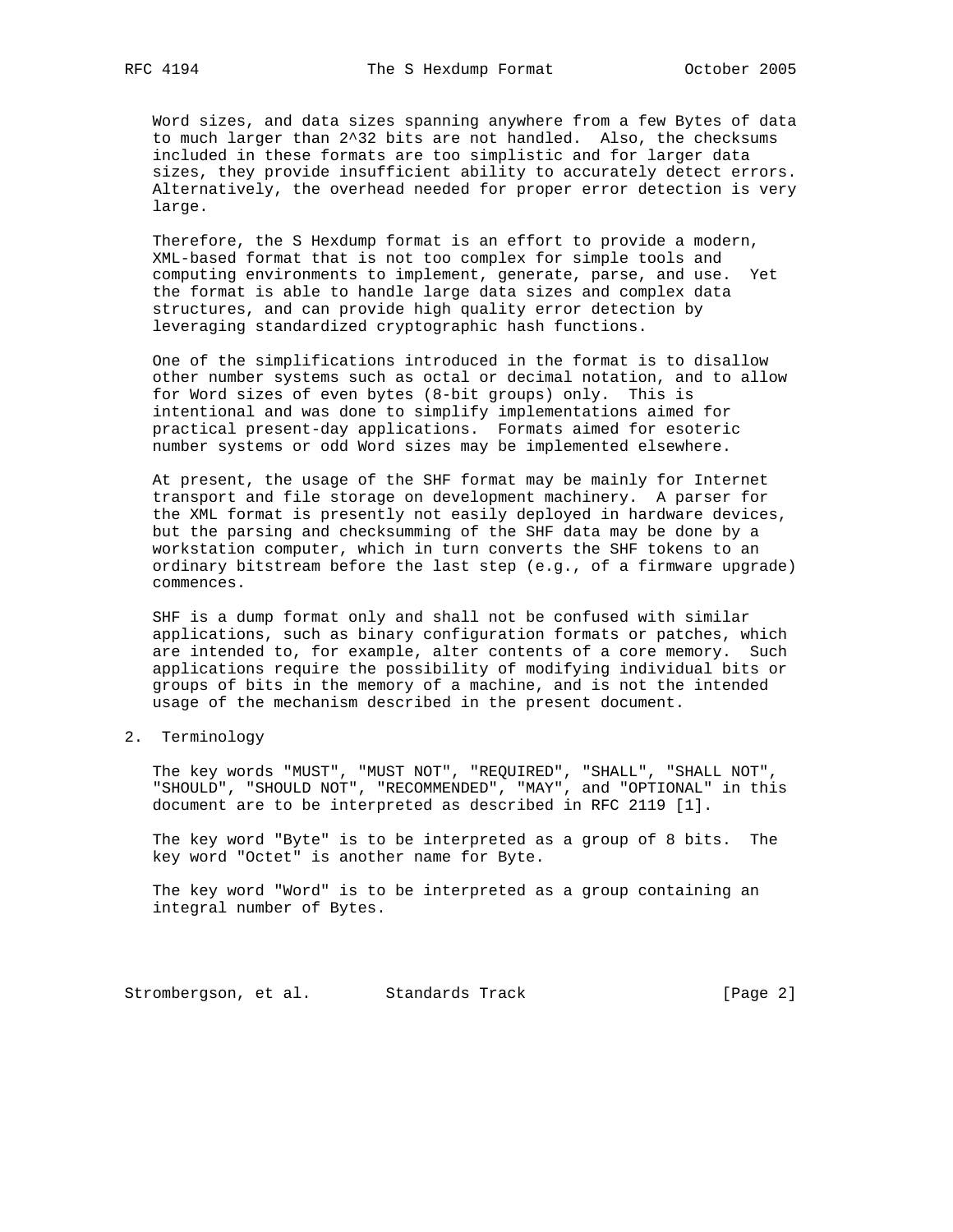Word sizes, and data sizes spanning anywhere from a few Bytes of data to much larger than 2^32 bits are not handled. Also, the checksums included in these formats are too simplistic and for larger data sizes, they provide insufficient ability to accurately detect errors. Alternatively, the overhead needed for proper error detection is very large.

 Therefore, the S Hexdump format is an effort to provide a modern, XML-based format that is not too complex for simple tools and computing environments to implement, generate, parse, and use. Yet the format is able to handle large data sizes and complex data structures, and can provide high quality error detection by leveraging standardized cryptographic hash functions.

 One of the simplifications introduced in the format is to disallow other number systems such as octal or decimal notation, and to allow for Word sizes of even bytes (8-bit groups) only. This is intentional and was done to simplify implementations aimed for practical present-day applications. Formats aimed for esoteric number systems or odd Word sizes may be implemented elsewhere.

 At present, the usage of the SHF format may be mainly for Internet transport and file storage on development machinery. A parser for the XML format is presently not easily deployed in hardware devices, but the parsing and checksumming of the SHF data may be done by a workstation computer, which in turn converts the SHF tokens to an ordinary bitstream before the last step (e.g., of a firmware upgrade) commences.

 SHF is a dump format only and shall not be confused with similar applications, such as binary configuration formats or patches, which are intended to, for example, alter contents of a core memory. Such applications require the possibility of modifying individual bits or groups of bits in the memory of a machine, and is not the intended usage of the mechanism described in the present document.

2. Terminology

 The key words "MUST", "MUST NOT", "REQUIRED", "SHALL", "SHALL NOT", "SHOULD", "SHOULD NOT", "RECOMMENDED", "MAY", and "OPTIONAL" in this document are to be interpreted as described in RFC 2119 [1].

 The key word "Byte" is to be interpreted as a group of 8 bits. The key word "Octet" is another name for Byte.

 The key word "Word" is to be interpreted as a group containing an integral number of Bytes.

Strombergson, et al. Standards Track (Page 2)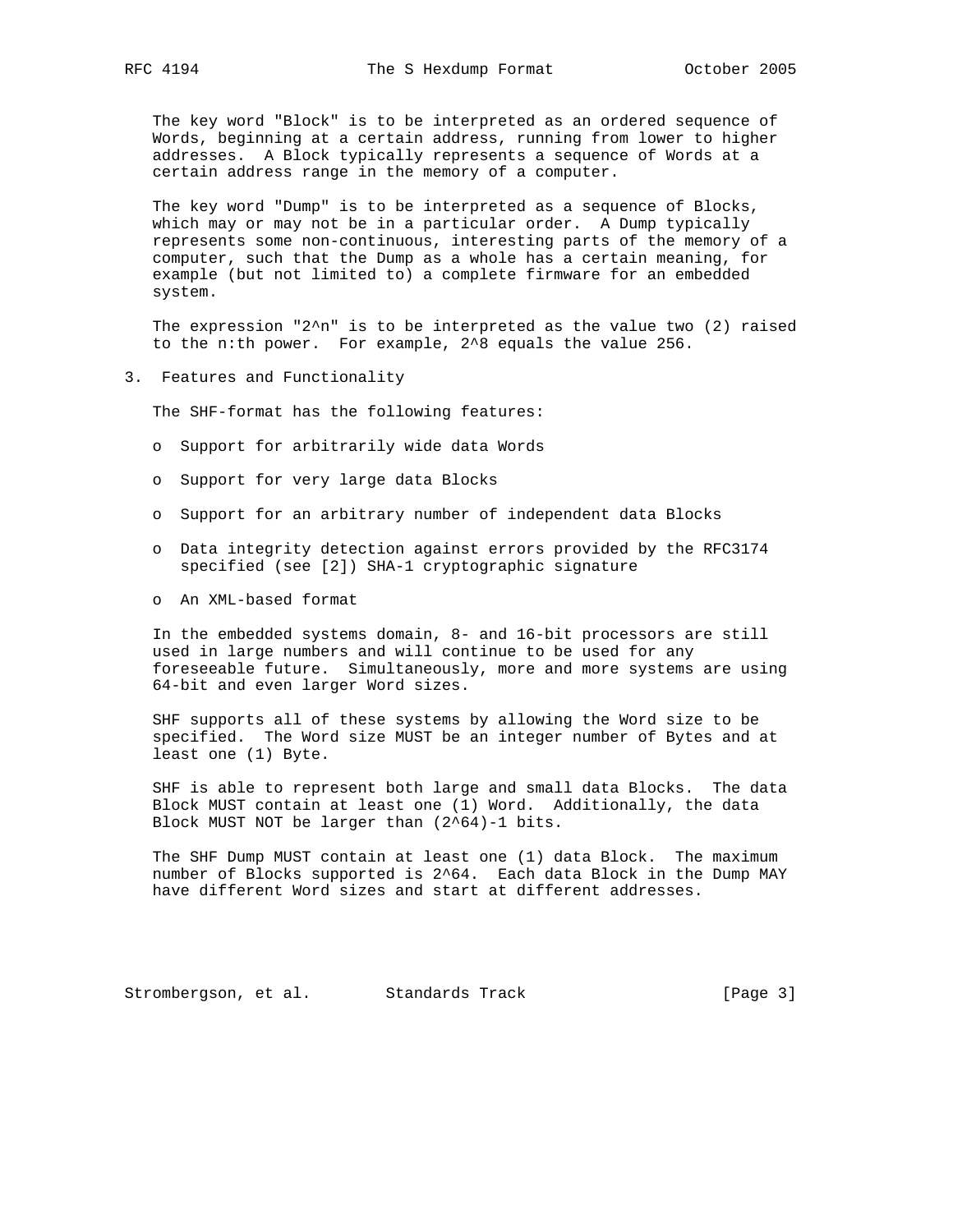The key word "Block" is to be interpreted as an ordered sequence of Words, beginning at a certain address, running from lower to higher addresses. A Block typically represents a sequence of Words at a certain address range in the memory of a computer.

 The key word "Dump" is to be interpreted as a sequence of Blocks, which may or may not be in a particular order. A Dump typically represents some non-continuous, interesting parts of the memory of a computer, such that the Dump as a whole has a certain meaning, for example (but not limited to) a complete firmware for an embedded system.

The expression "2 $\text{\textdegree{n}}$ " is to be interpreted as the value two (2) raised to the n:th power. For example, 2^8 equals the value 256.

3. Features and Functionality

The SHF-format has the following features:

- o Support for arbitrarily wide data Words
- o Support for very large data Blocks
- o Support for an arbitrary number of independent data Blocks
- o Data integrity detection against errors provided by the RFC3174 specified (see [2]) SHA-1 cryptographic signature
- o An XML-based format

 In the embedded systems domain, 8- and 16-bit processors are still used in large numbers and will continue to be used for any foreseeable future. Simultaneously, more and more systems are using 64-bit and even larger Word sizes.

 SHF supports all of these systems by allowing the Word size to be specified. The Word size MUST be an integer number of Bytes and at least one (1) Byte.

 SHF is able to represent both large and small data Blocks. The data Block MUST contain at least one (1) Word. Additionally, the data Block MUST NOT be larger than (2^64)-1 bits.

 The SHF Dump MUST contain at least one (1) data Block. The maximum number of Blocks supported is 2^64. Each data Block in the Dump MAY have different Word sizes and start at different addresses.

Strombergson, et al. Standards Track [Page 3]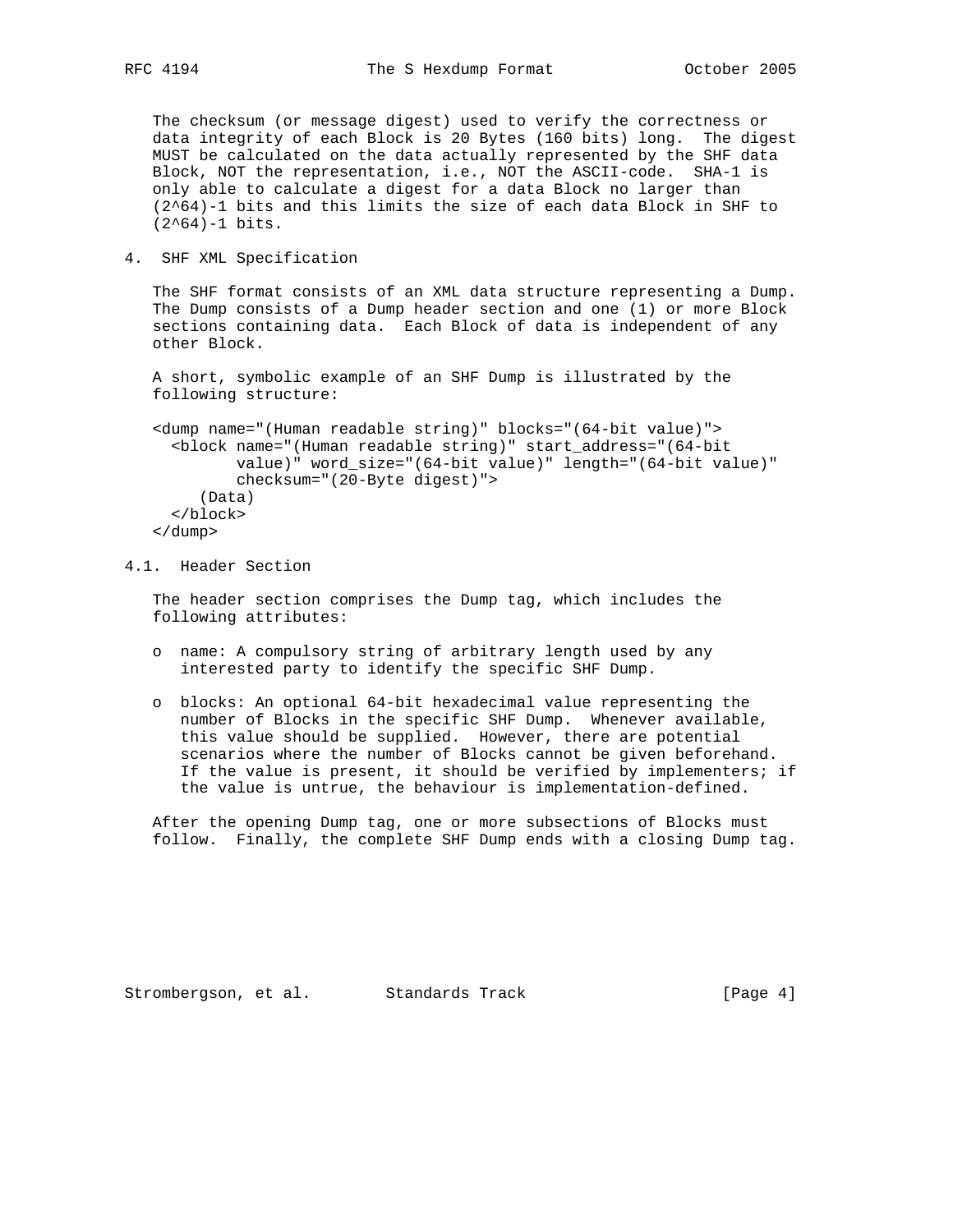The checksum (or message digest) used to verify the correctness or data integrity of each Block is 20 Bytes (160 bits) long. The digest MUST be calculated on the data actually represented by the SHF data Block, NOT the representation, i.e., NOT the ASCII-code. SHA-1 is only able to calculate a digest for a data Block no larger than (2^64)-1 bits and this limits the size of each data Block in SHF to (2^64)-1 bits.

4. SHF XML Specification

 The SHF format consists of an XML data structure representing a Dump. The Dump consists of a Dump header section and one (1) or more Block sections containing data. Each Block of data is independent of any other Block.

 A short, symbolic example of an SHF Dump is illustrated by the following structure:

```
 <dump name="(Human readable string)" blocks="(64-bit value)">
   <block name="(Human readable string)" start_address="(64-bit
          value)" word_size="(64-bit value)" length="(64-bit value)"
          checksum="(20-Byte digest)">
      (Data)
   </block>
 </dump>
```
4.1. Header Section

 The header section comprises the Dump tag, which includes the following attributes:

- o name: A compulsory string of arbitrary length used by any interested party to identify the specific SHF Dump.
- o blocks: An optional 64-bit hexadecimal value representing the number of Blocks in the specific SHF Dump. Whenever available, this value should be supplied. However, there are potential scenarios where the number of Blocks cannot be given beforehand. If the value is present, it should be verified by implementers; if the value is untrue, the behaviour is implementation-defined.

 After the opening Dump tag, one or more subsections of Blocks must follow. Finally, the complete SHF Dump ends with a closing Dump tag.

Strombergson, et al. Standards Track [Page 4]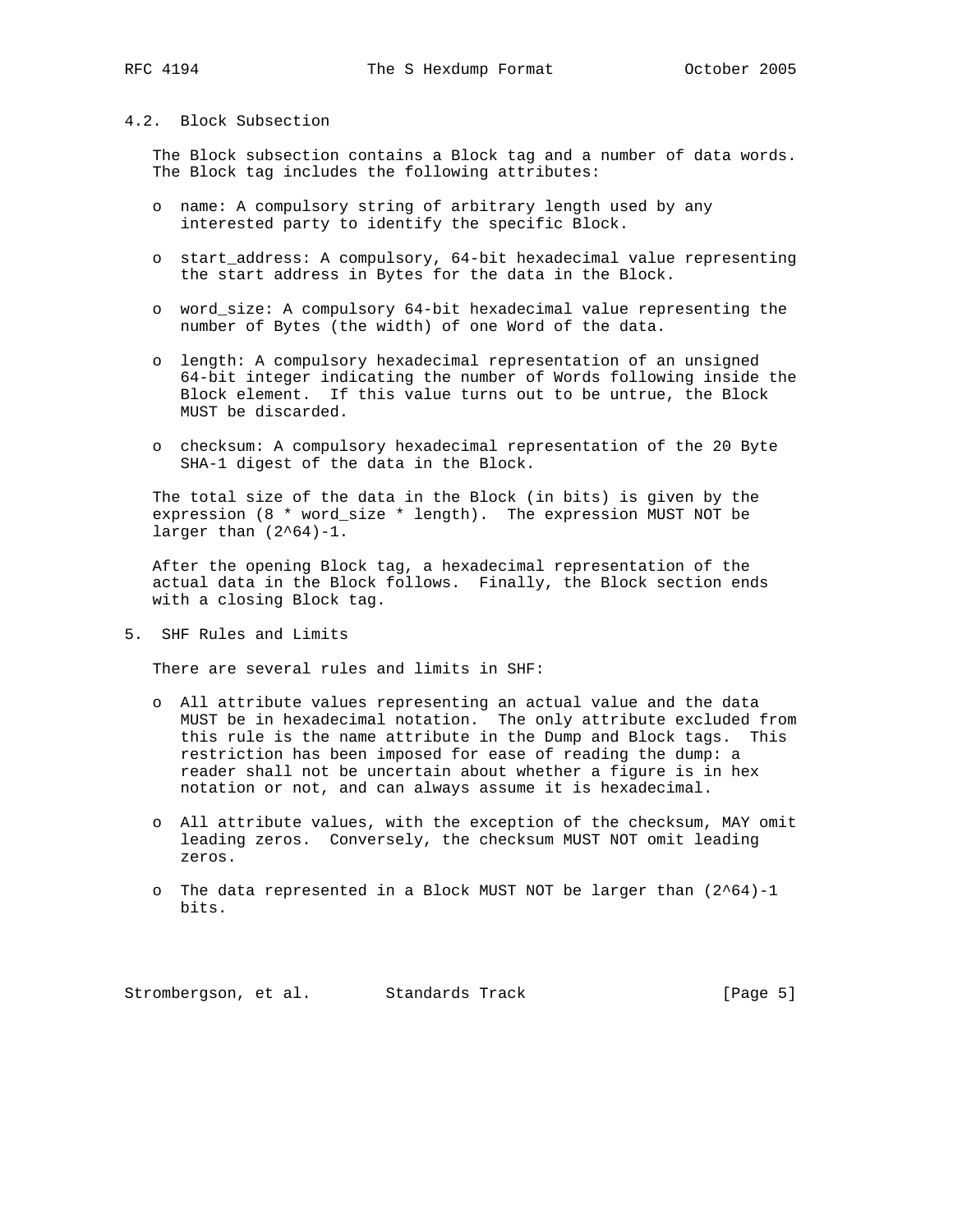## 4.2. Block Subsection

 The Block subsection contains a Block tag and a number of data words. The Block tag includes the following attributes:

- o name: A compulsory string of arbitrary length used by any interested party to identify the specific Block.
- o start\_address: A compulsory, 64-bit hexadecimal value representing the start address in Bytes for the data in the Block.
- o word\_size: A compulsory 64-bit hexadecimal value representing the number of Bytes (the width) of one Word of the data.
- o length: A compulsory hexadecimal representation of an unsigned 64-bit integer indicating the number of Words following inside the Block element. If this value turns out to be untrue, the Block MUST be discarded.
- o checksum: A compulsory hexadecimal representation of the 20 Byte SHA-1 digest of the data in the Block.

 The total size of the data in the Block (in bits) is given by the expression (8 \* word\_size \* length). The expression MUST NOT be larger than  $(2^64)-1$ .

 After the opening Block tag, a hexadecimal representation of the actual data in the Block follows. Finally, the Block section ends with a closing Block tag.

5. SHF Rules and Limits

There are several rules and limits in SHF:

- o All attribute values representing an actual value and the data MUST be in hexadecimal notation. The only attribute excluded from this rule is the name attribute in the Dump and Block tags. This restriction has been imposed for ease of reading the dump: a reader shall not be uncertain about whether a figure is in hex notation or not, and can always assume it is hexadecimal.
- o All attribute values, with the exception of the checksum, MAY omit leading zeros. Conversely, the checksum MUST NOT omit leading zeros.
- o The data represented in a Block MUST NOT be larger than (2^64)-1 bits.

Strombergson, et al. Standards Track [Page 5]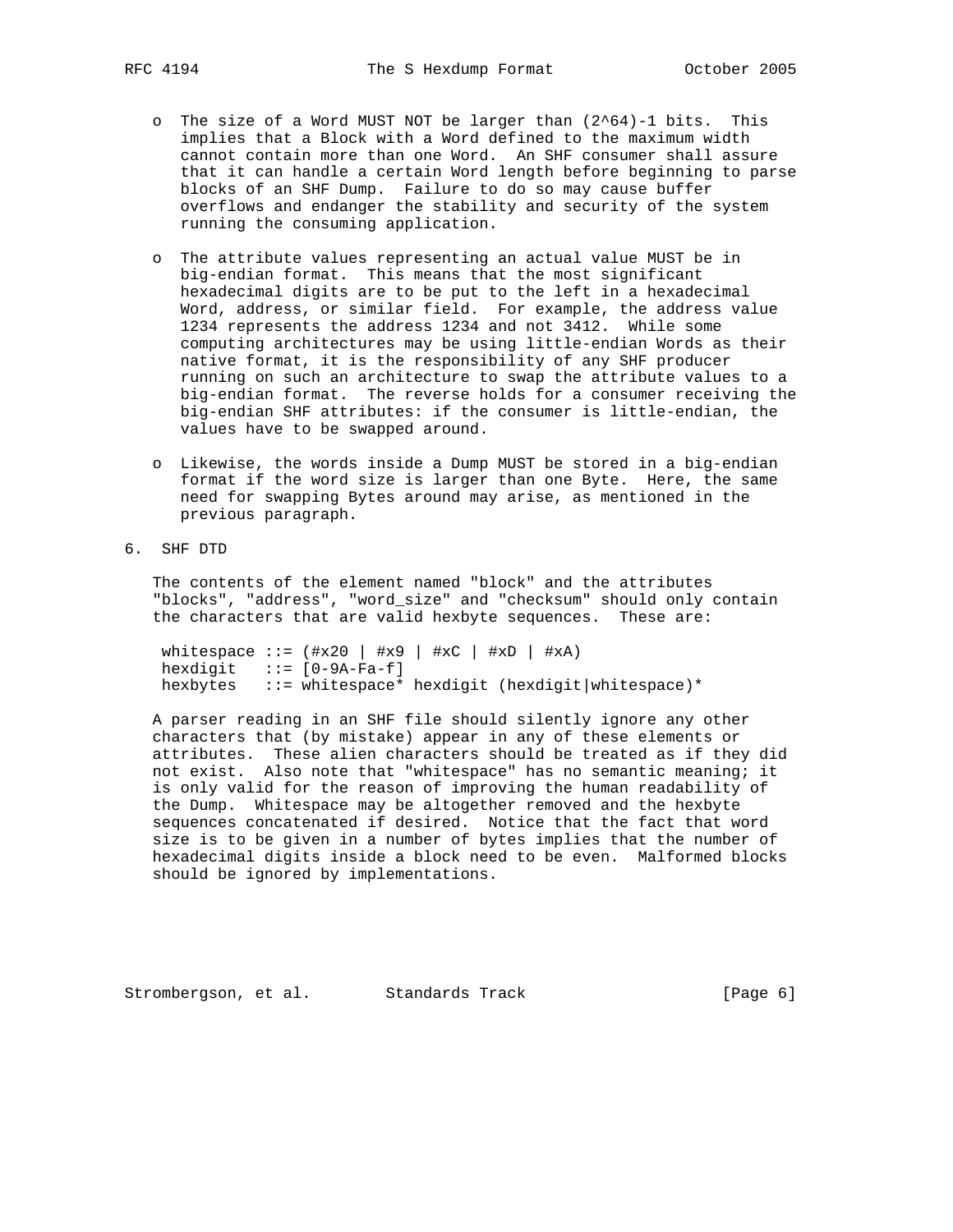- o The size of a Word MUST NOT be larger than (2^64)-1 bits. This implies that a Block with a Word defined to the maximum width cannot contain more than one Word. An SHF consumer shall assure that it can handle a certain Word length before beginning to parse blocks of an SHF Dump. Failure to do so may cause buffer overflows and endanger the stability and security of the system running the consuming application.
- o The attribute values representing an actual value MUST be in big-endian format. This means that the most significant hexadecimal digits are to be put to the left in a hexadecimal Word, address, or similar field. For example, the address value 1234 represents the address 1234 and not 3412. While some computing architectures may be using little-endian Words as their native format, it is the responsibility of any SHF producer running on such an architecture to swap the attribute values to a big-endian format. The reverse holds for a consumer receiving the big-endian SHF attributes: if the consumer is little-endian, the values have to be swapped around.
- o Likewise, the words inside a Dump MUST be stored in a big-endian format if the word size is larger than one Byte. Here, the same need for swapping Bytes around may arise, as mentioned in the previous paragraph.
- 6. SHF DTD

 The contents of the element named "block" and the attributes "blocks", "address", "word\_size" and "checksum" should only contain the characters that are valid hexbyte sequences. These are:

whitespace  $::=$   $(\#x20 \mid \#x9 \mid \#xC \mid \#xD \mid \#xA)$ hexdigit  $::=[0-9A-Fa-f]$ hexbytes ::= whitespace\* hexdigit (hexdigit|whitespace)\*

 A parser reading in an SHF file should silently ignore any other characters that (by mistake) appear in any of these elements or attributes. These alien characters should be treated as if they did not exist. Also note that "whitespace" has no semantic meaning; it is only valid for the reason of improving the human readability of the Dump. Whitespace may be altogether removed and the hexbyte sequences concatenated if desired. Notice that the fact that word size is to be given in a number of bytes implies that the number of hexadecimal digits inside a block need to be even. Malformed blocks should be ignored by implementations.

Strombergson, et al. Standards Track [Page 6]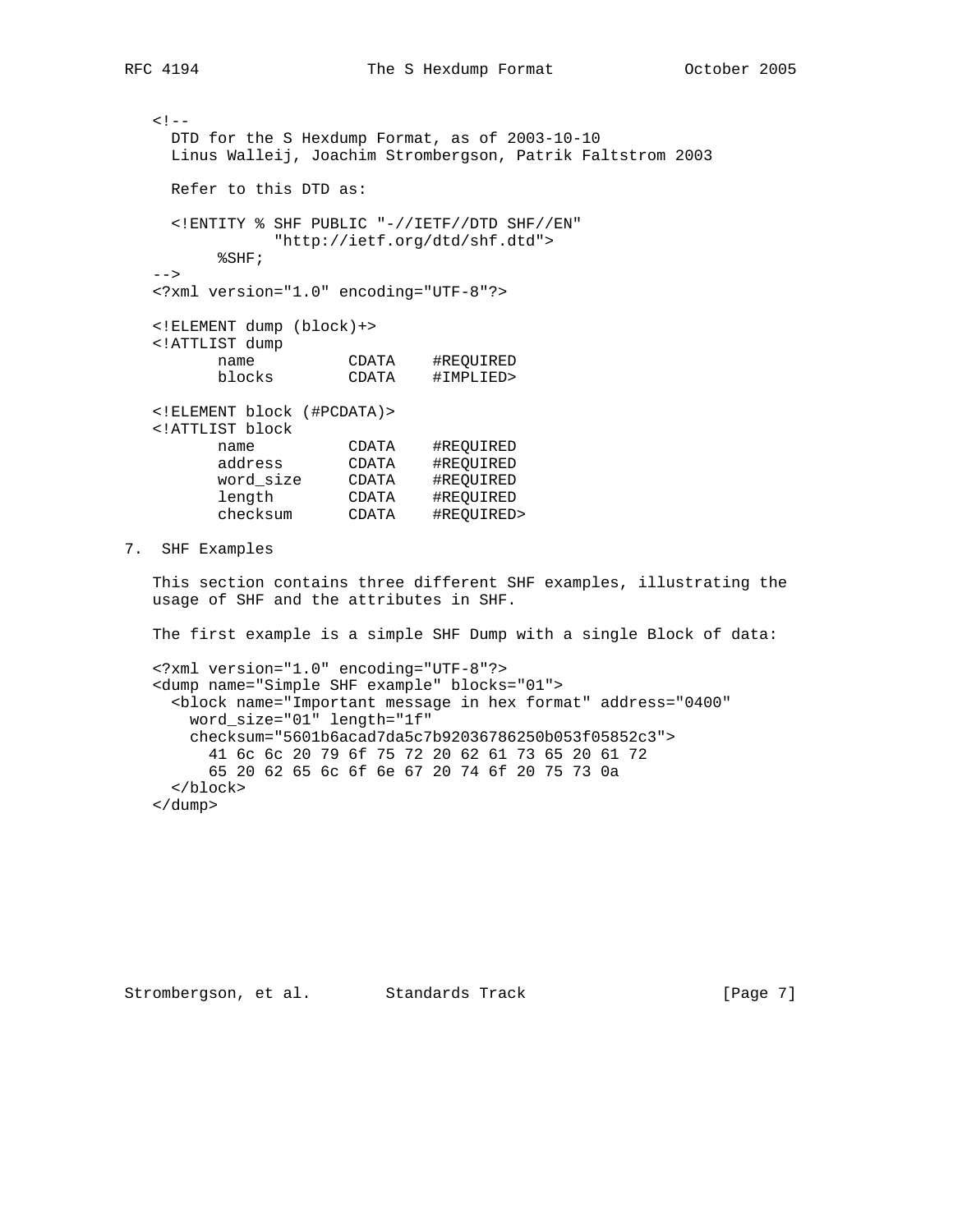```
<! - DTD for the S Hexdump Format, as of 2003-10-10
     Linus Walleij, Joachim Strombergson, Patrik Faltstrom 2003
    Refer to this DTD as:
     <!ENTITY % SHF PUBLIC "-//IETF//DTD SHF//EN"
              "http://ietf.org/dtd/shf.dtd">
         %SHF;
  --& <?xml version="1.0" encoding="UTF-8"?>
   <!ELEMENT dump (block)+>
   <!ATTLIST dump
         name CDATA #REQUIRED
         blocks CDATA #IMPLIED>
   <!ELEMENT block (#PCDATA)>
   <!ATTLIST block
 name CDATA #REQUIRED
 address CDATA #REQUIRED
 word_size CDATA #REQUIRED
 length CDATA #REQUIRED
 checksum CDATA #REQUIRED>
7. SHF Examples
```
 This section contains three different SHF examples, illustrating the usage of SHF and the attributes in SHF.

The first example is a simple SHF Dump with a single Block of data:

 <?xml version="1.0" encoding="UTF-8"?> <dump name="Simple SHF example" blocks="01"> <block name="Important message in hex format" address="0400" word\_size="01" length="1f" checksum="5601b6acad7da5c7b92036786250b053f05852c3"> 41 6c 6c 20 79 6f 75 72 20 62 61 73 65 20 61 72 65 20 62 65 6c 6f 6e 67 20 74 6f 20 75 73 0a </block> </dump>

Strombergson, et al. Standards Track [Page 7]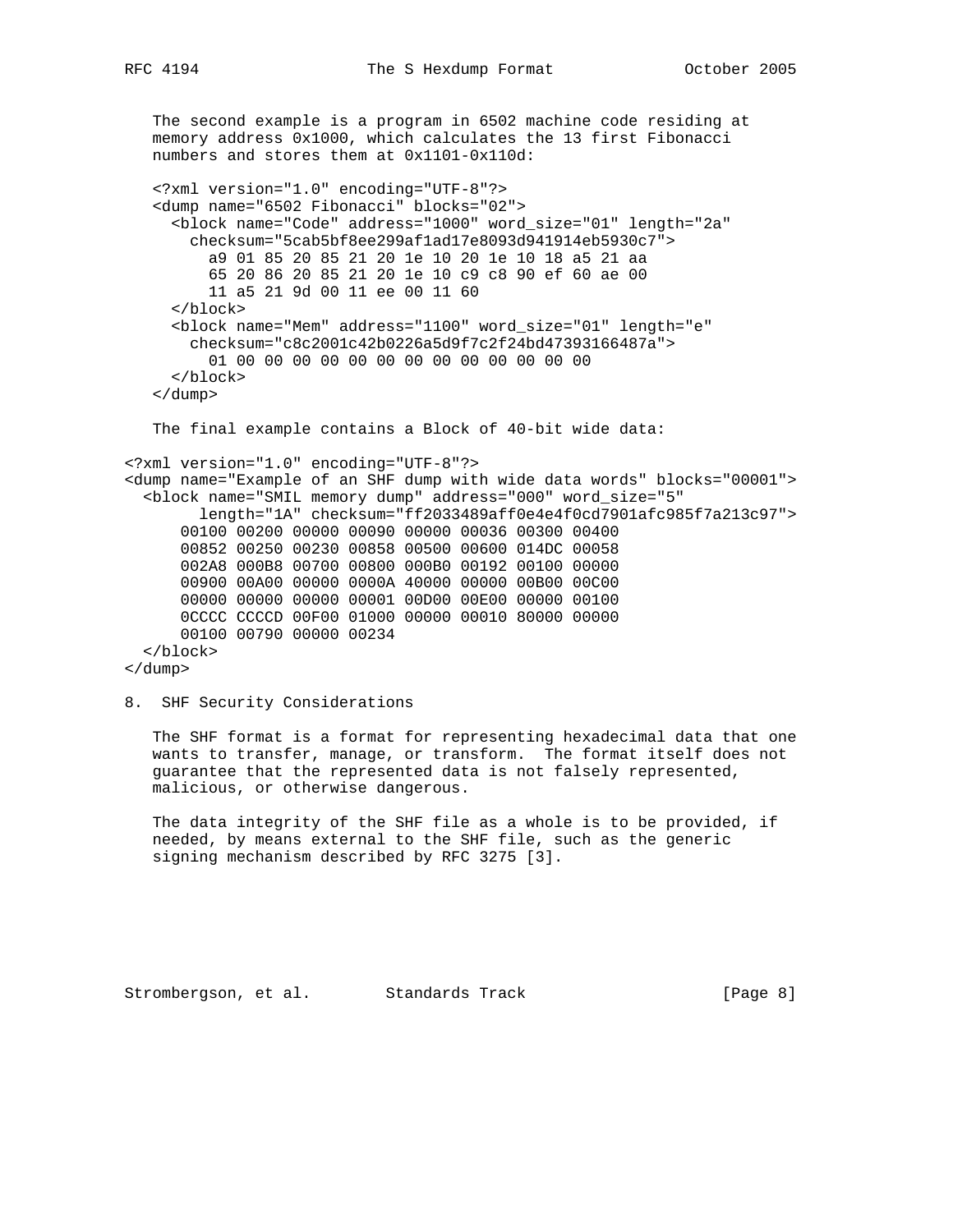The second example is a program in 6502 machine code residing at memory address 0x1000, which calculates the 13 first Fibonacci numbers and stores them at 0x1101-0x110d: <?xml version="1.0" encoding="UTF-8"?> <dump name="6502 Fibonacci" blocks="02"> <block name="Code" address="1000" word\_size="01" length="2a" checksum="5cab5bf8ee299af1ad17e8093d941914eb5930c7"> a9 01 85 20 85 21 20 1e 10 20 1e 10 18 a5 21 aa 65 20 86 20 85 21 20 1e 10 c9 c8 90 ef 60 ae 00 11 a5 21 9d 00 11 ee 00 11 60 </block> <block name="Mem" address="1100" word\_size="01" length="e" checksum="c8c2001c42b0226a5d9f7c2f24bd47393166487a"> 01 00 00 00 00 00 00 00 00 00 00 00 00 00 </block> </dump> The final example contains a Block of 40-bit wide data: <?xml version="1.0" encoding="UTF-8"?> <dump name="Example of an SHF dump with wide data words" blocks="00001"> <block name="SMIL memory dump" address="000" word\_size="5" length="1A" checksum="ff2033489aff0e4e4f0cd7901afc985f7a213c97"> 00100 00200 00000 00090 00000 00036 00300 00400 00852 00250 00230 00858 00500 00600 014DC 00058 002A8 000B8 00700 00800 000B0 00192 00100 00000 00900 00A00 00000 0000A 40000 00000 00B00 00C00 00000 00000 00000 00001 00D00 00E00 00000 00100 0CCCC CCCCD 00F00 01000 00000 00010 80000 00000 00100 00790 00000 00234 </block> </dump>

```
8. SHF Security Considerations
```
 The SHF format is a format for representing hexadecimal data that one wants to transfer, manage, or transform. The format itself does not guarantee that the represented data is not falsely represented, malicious, or otherwise dangerous.

 The data integrity of the SHF file as a whole is to be provided, if needed, by means external to the SHF file, such as the generic signing mechanism described by RFC 3275 [3].

Strombergson, et al. Standards Track [Page 8]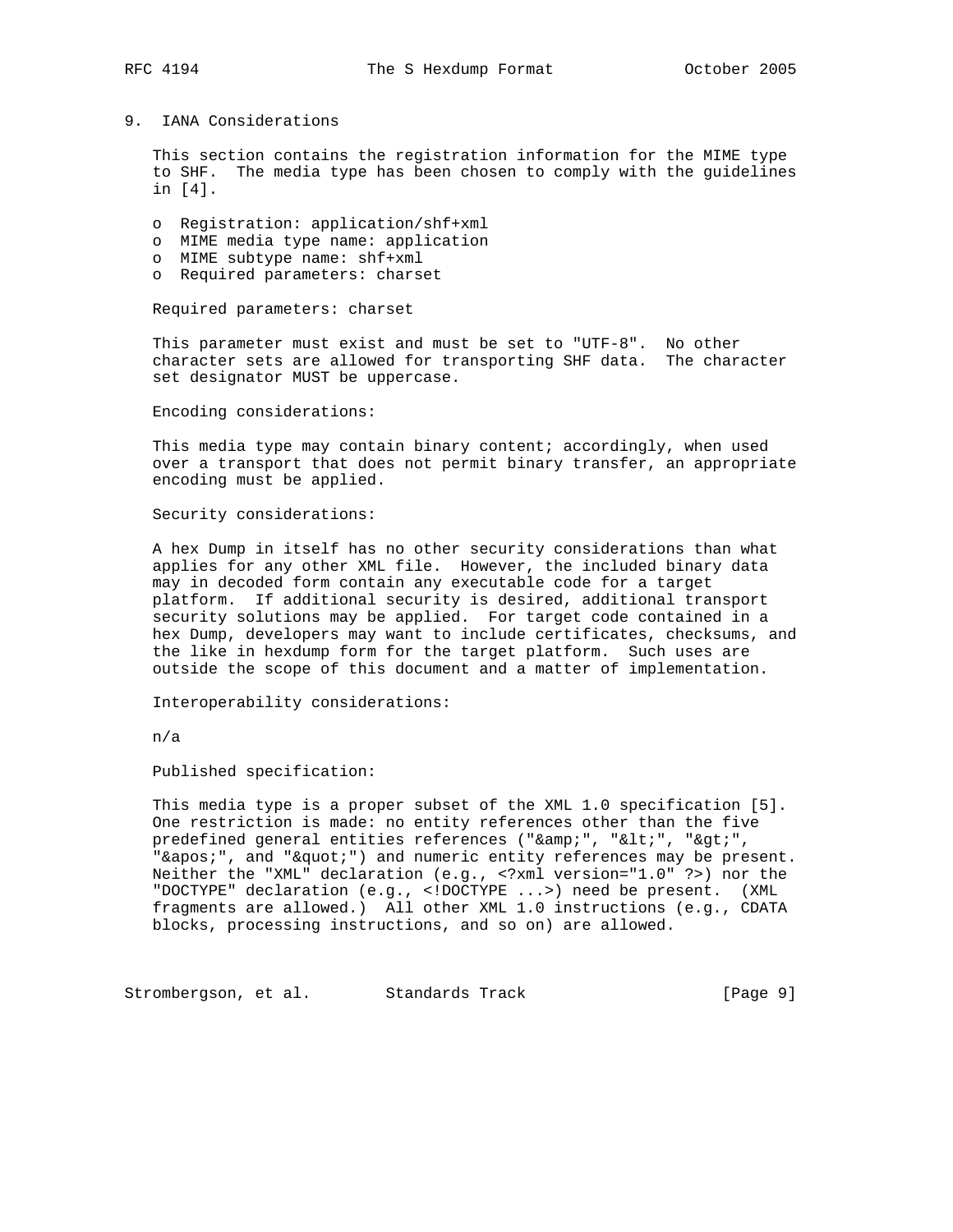## 9. IANA Considerations

 This section contains the registration information for the MIME type to SHF. The media type has been chosen to comply with the guidelines in [4].

- o Registration: application/shf+xml
- o MIME media type name: application
- o MIME subtype name: shf+xml
- o Required parameters: charset

Required parameters: charset

 This parameter must exist and must be set to "UTF-8". No other character sets are allowed for transporting SHF data. The character set designator MUST be uppercase.

Encoding considerations:

This media type may contain binary content; accordingly, when used over a transport that does not permit binary transfer, an appropriate encoding must be applied.

Security considerations:

 A hex Dump in itself has no other security considerations than what applies for any other XML file. However, the included binary data may in decoded form contain any executable code for a target platform. If additional security is desired, additional transport security solutions may be applied. For target code contained in a hex Dump, developers may want to include certificates, checksums, and the like in hexdump form for the target platform. Such uses are outside the scope of this document and a matter of implementation.

Interoperability considerations:

n/a

Published specification:

 This media type is a proper subset of the XML 1.0 specification [5]. One restriction is made: no entity references other than the five predefined general entities references ("&", "<", "&gt;", "'", and """) and numeric entity references may be present. Neither the "XML" declaration (e.g., <?xml version="1.0" ?>) nor the "DOCTYPE" declaration (e.g., <!DOCTYPE ...>) need be present. (XML fragments are allowed.) All other XML 1.0 instructions (e.g., CDATA blocks, processing instructions, and so on) are allowed.

Strombergson, et al. Standards Track [Page 9]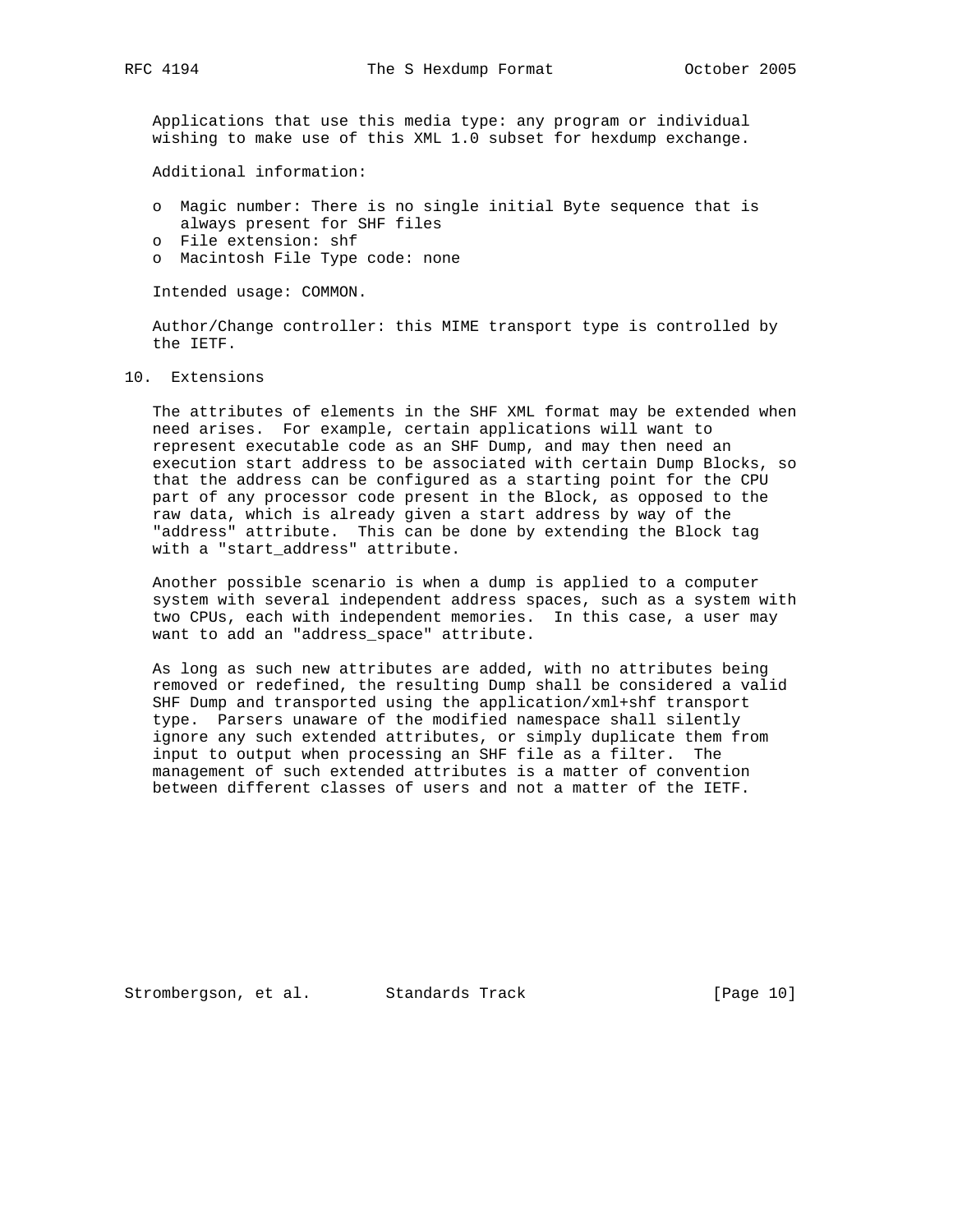Applications that use this media type: any program or individual wishing to make use of this XML 1.0 subset for hexdump exchange.

Additional information:

- o Magic number: There is no single initial Byte sequence that is always present for SHF files
- o File extension: shf
- o Macintosh File Type code: none

Intended usage: COMMON.

 Author/Change controller: this MIME transport type is controlled by the IETF.

10. Extensions

 The attributes of elements in the SHF XML format may be extended when need arises. For example, certain applications will want to represent executable code as an SHF Dump, and may then need an execution start address to be associated with certain Dump Blocks, so that the address can be configured as a starting point for the CPU part of any processor code present in the Block, as opposed to the raw data, which is already given a start address by way of the "address" attribute. This can be done by extending the Block tag with a "start\_address" attribute.

 Another possible scenario is when a dump is applied to a computer system with several independent address spaces, such as a system with two CPUs, each with independent memories. In this case, a user may want to add an "address space" attribute.

 As long as such new attributes are added, with no attributes being removed or redefined, the resulting Dump shall be considered a valid SHF Dump and transported using the application/xml+shf transport type. Parsers unaware of the modified namespace shall silently ignore any such extended attributes, or simply duplicate them from input to output when processing an SHF file as a filter. The management of such extended attributes is a matter of convention between different classes of users and not a matter of the IETF.

Strombergson, et al. Standards Track [Page 10]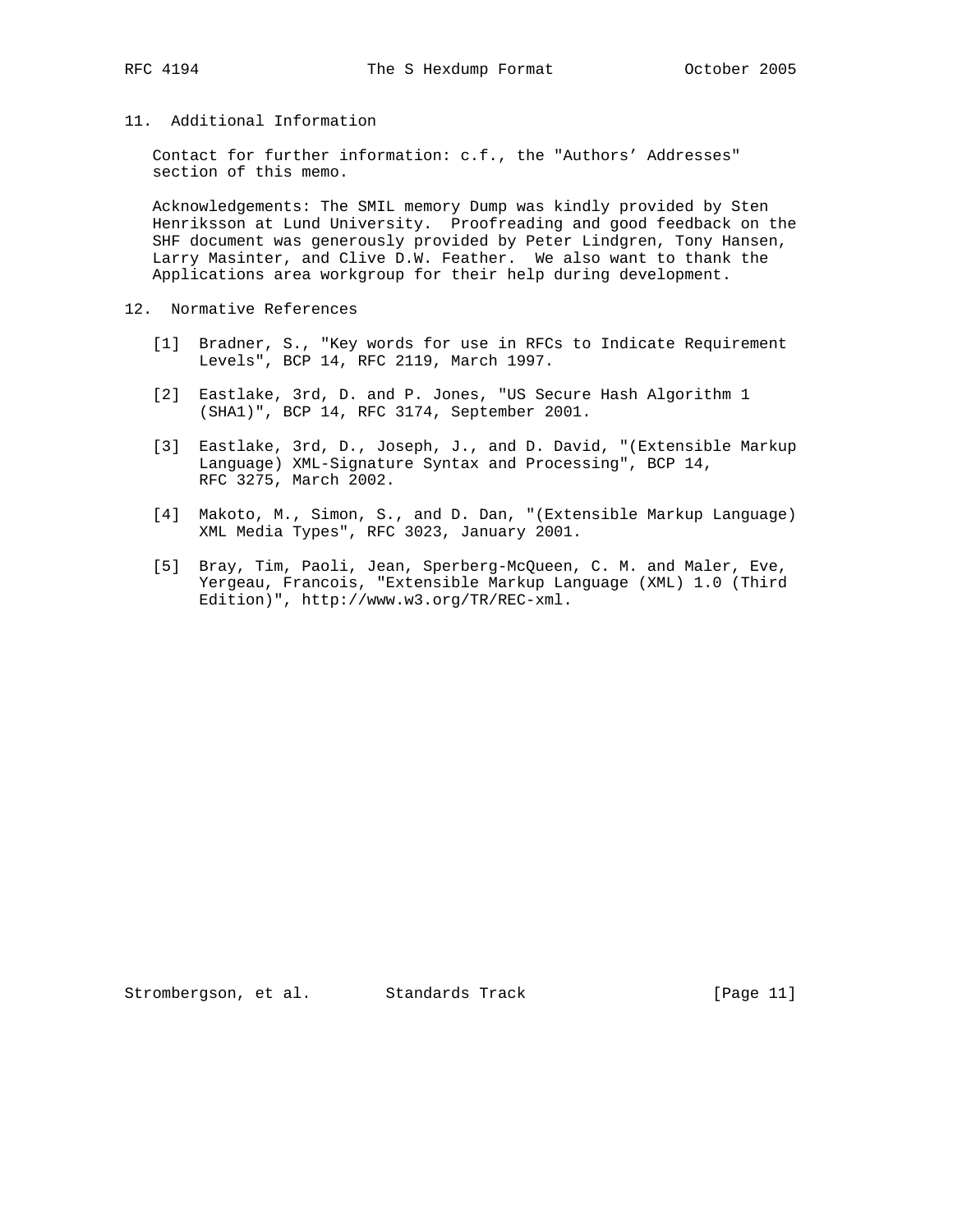# 11. Additional Information

 Contact for further information: c.f., the "Authors' Addresses" section of this memo.

 Acknowledgements: The SMIL memory Dump was kindly provided by Sten Henriksson at Lund University. Proofreading and good feedback on the SHF document was generously provided by Peter Lindgren, Tony Hansen, Larry Masinter, and Clive D.W. Feather. We also want to thank the Applications area workgroup for their help during development.

- 12. Normative References
	- [1] Bradner, S., "Key words for use in RFCs to Indicate Requirement Levels", BCP 14, RFC 2119, March 1997.
	- [2] Eastlake, 3rd, D. and P. Jones, "US Secure Hash Algorithm 1 (SHA1)", BCP 14, RFC 3174, September 2001.
	- [3] Eastlake, 3rd, D., Joseph, J., and D. David, "(Extensible Markup Language) XML-Signature Syntax and Processing", BCP 14, RFC 3275, March 2002.
	- [4] Makoto, M., Simon, S., and D. Dan, "(Extensible Markup Language) XML Media Types", RFC 3023, January 2001.
	- [5] Bray, Tim, Paoli, Jean, Sperberg-McQueen, C. M. and Maler, Eve, Yergeau, Francois, "Extensible Markup Language (XML) 1.0 (Third Edition)", http://www.w3.org/TR/REC-xml.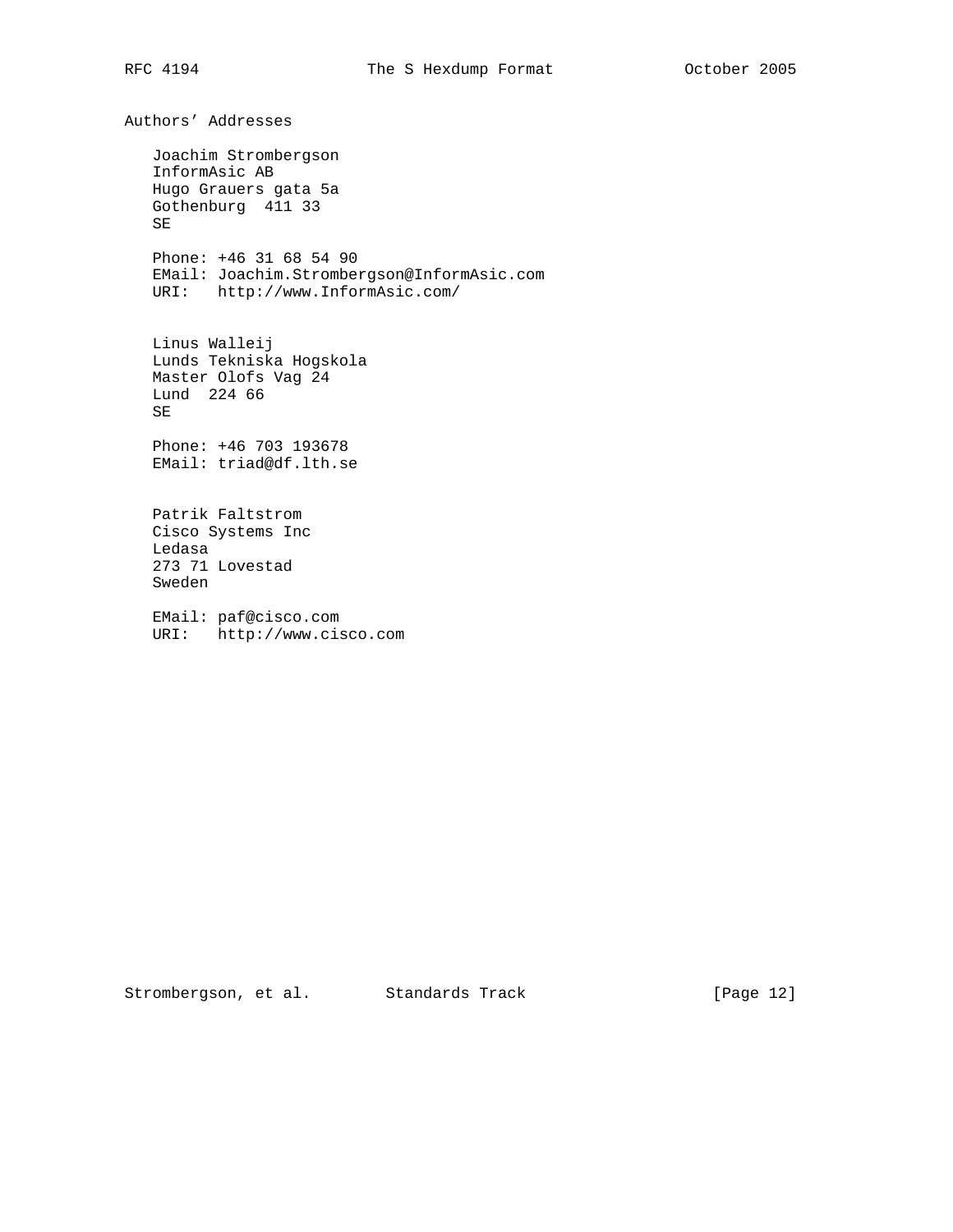Authors' Addresses Joachim Strombergson InformAsic AB Hugo Grauers gata 5a Gothenburg 411 33 SE Phone: +46 31 68 54 90 EMail: Joachim.Strombergson@InformAsic.com URI: http://www.InformAsic.com/ Linus Walleij Lunds Tekniska Hogskola Master Olofs Vag 24 Lund 224 66 SE Phone: +46 703 193678 EMail: triad@df.lth.se Patrik Faltstrom Cisco Systems Inc Ledasa 273 71 Lovestad Sweden EMail: paf@cisco.com URI: http://www.cisco.com